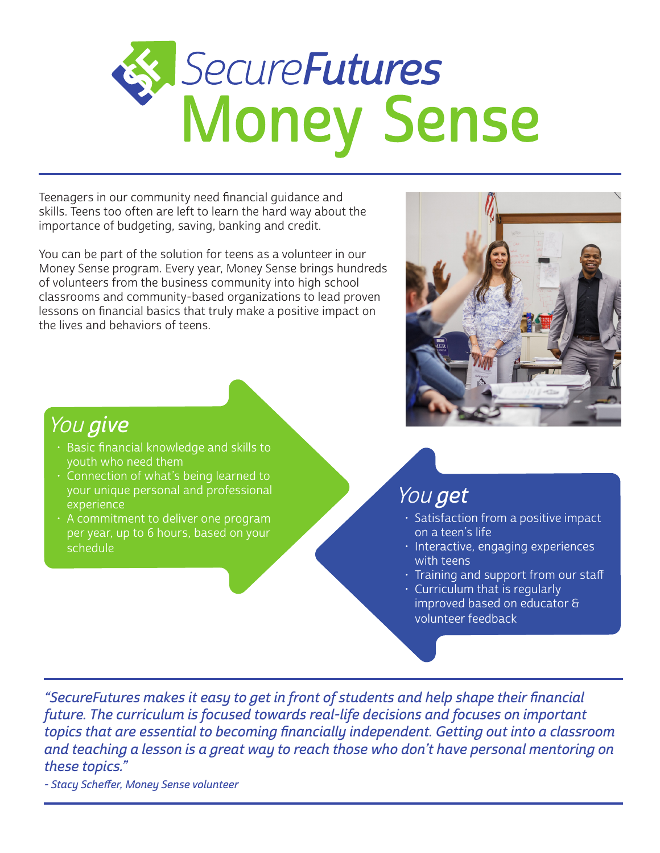# SecureFutures<br>Money Sense

Teenagers in our community need financial guidance and skills. Teens too often are left to learn the hard way about the importance of budgeting, saving, banking and credit.

You can be part of the solution for teens as a volunteer in our Money Sense program. Every year, Money Sense brings hundreds of volunteers from the business community into high school classrooms and community-based organizations to lead proven lessons on financial basics that truly make a positive impact on the lives and behaviors of teens.



# You give

- Basic financial knowledge and skills to youth who need them
- Connection of what's being learned to your unique personal and professional experience
- A commitment to deliver one program per year, up to 6 hours, based on your schedule

# You get

- Satisfaction from a positive impact on a teen's life
- Interactive, engaging experiences with teens
- Training and support from our staff
- Curriculum that is regularly improved based on educator & volunteer feedback

"SecureFutures makes it easy to get in front of students and help shape their financial future. The curriculum is focused towards real-life decisions and focuses on important topics that are essential to becoming financially independent. Getting out into a classroom and teaching a lesson is a great way to reach those who don't have personal mentoring on these topics."

- Stacy Scheffer, Money Sense volunteer